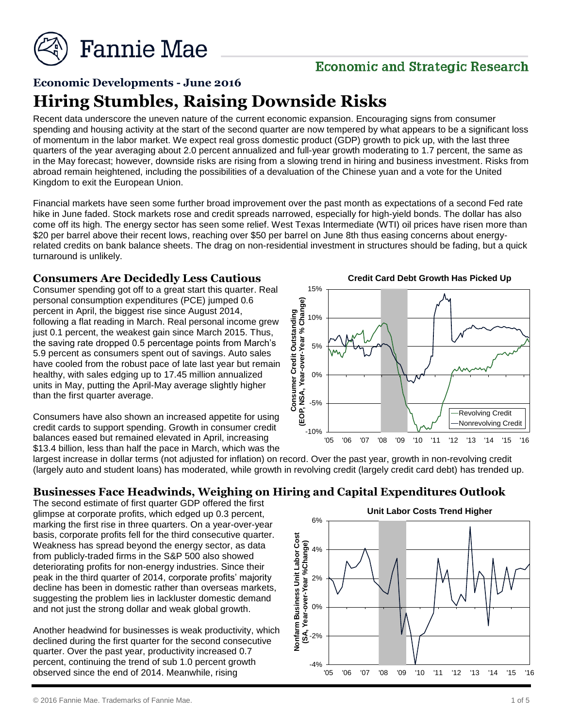

# **Economic and Strategic Research**

# **Economic Developments - June 2016 Hiring Stumbles, Raising Downside Risks**

Recent data underscore the uneven nature of the current economic expansion. Encouraging signs from consumer spending and housing activity at the start of the second quarter are now tempered by what appears to be a significant loss of momentum in the labor market. We expect real gross domestic product (GDP) growth to pick up, with the last three quarters of the year averaging about 2.0 percent annualized and full-year growth moderating to 1.7 percent, the same as in the May forecast; however, downside risks are rising from a slowing trend in hiring and business investment. Risks from abroad remain heightened, including the possibilities of a devaluation of the Chinese yuan and a vote for the United Kingdom to exit the European Union.

Financial markets have seen some further broad improvement over the past month as expectations of a second Fed rate hike in June faded. Stock markets rose and credit spreads narrowed, especially for high-yield bonds. The dollar has also come off its high. The energy sector has seen some relief. West Texas Intermediate (WTI) oil prices have risen more than \$20 per barrel above their recent lows, reaching over \$50 per barrel on June 8th thus easing concerns about energyrelated credits on bank balance sheets. The drag on non-residential investment in structures should be fading, but a quick turnaround is unlikely.

#### **Consumers Are Decidedly Less Cautious**

Consumer spending got off to a great start this quarter. Real personal consumption expenditures (PCE) jumped 0.6 percent in April, the biggest rise since August 2014, following a flat reading in March. Real personal income grew just 0.1 percent, the weakest gain since March 2015. Thus, the saving rate dropped 0.5 percentage points from March's 5.9 percent as consumers spent out of savings. Auto sales have cooled from the robust pace of late last year but remain healthy, with sales edging up to 17.45 million annualized units in May, putting the April-May average slightly higher than the first quarter average.

Consumers have also shown an increased appetite for using credit cards to support spending. Growth in consumer credit balances eased but remained elevated in April, increasing \$13.4 billion, less than half the pace in March, which was the

**Credit Card Debt Growth Has Picked Up**



largest increase in dollar terms (not adjusted for inflation) on record. Over the past year, growth in non-revolving credit (largely auto and student loans) has moderated, while growth in revolving credit (largely credit card debt) has trended up.

# **Businesses Face Headwinds, Weighing on Hiring and Capital Expenditures Outlook**

The second estimate of first quarter GDP offered the first glimpse at corporate profits, which edged up 0.3 percent, marking the first rise in three quarters. On a year-over-year basis, corporate profits fell for the third consecutive quarter. Weakness has spread beyond the energy sector, as data from publicly-traded firms in the S&P 500 also showed deteriorating profits for non-energy industries. Since their peak in the third quarter of 2014, corporate profits' majority decline has been in domestic rather than overseas markets, suggesting the problem lies in lackluster domestic demand and not just the strong dollar and weak global growth.

Another headwind for businesses is weak productivity, which declined during the first quarter for the second consecutive quarter. Over the past year, productivity increased 0.7 percent, continuing the trend of sub 1.0 percent growth observed since the end of 2014. Meanwhile, rising

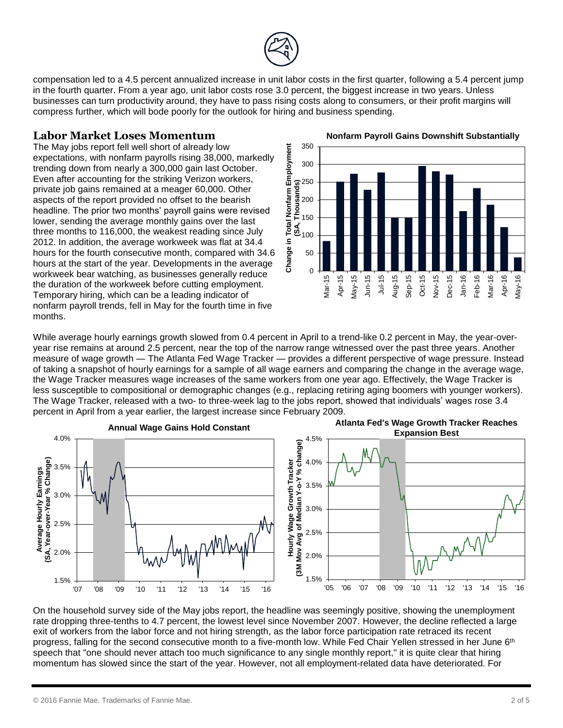

compensation led to a 4.5 percent annualized increase in unit labor costs in the first quarter, following a 5.4 percent jump in the fourth quarter. From a year ago, unit labor costs rose 3.0 percent, the biggest increase in two years. Unless businesses can turn productivity around, they have to pass rising costs along to consumers, or their profit margins will compress further, which will bode poorly for the outlook for hiring and business spending.

### **Labor Market Loses Momentum**

The May jobs report fell well short of already low expectations, with nonfarm payrolls rising 38,000, markedly trending down from nearly a 300,000 gain last October. Even after accounting for the striking Verizon workers, private job gains remained at a meager 60,000. Other aspects of the report provided no offset to the bearish headline. The prior two months' payroll gains were revised lower, sending the average monthly gains over the last three months to 116,000, the weakest reading since July 2012. In addition, the average workweek was flat at 34.4 hours for the fourth consecutive month, compared with 34.6 hours at the start of the year. Developments in the average workweek bear watching, as businesses generally reduce the duration of the workweek before cutting employment. Temporary hiring, which can be a leading indicator of nonfarm payroll trends, fell in May for the fourth time in five months.



**Nonfarm Payroll Gains Downshift Substantially**

While average hourly earnings growth slowed from 0.4 percent in April to a trend-like 0.2 percent in May, the year-overyear rise remains at around 2.5 percent, near the top of the narrow range witnessed over the past three years. Another measure of wage growth — The Atlanta Fed Wage Tracker — provides a different perspective of wage pressure. Instead of taking a snapshot of hourly earnings for a sample of all wage earners and comparing the change in the average wage, the Wage Tracker measures wage increases of the same workers from one year ago. Effectively, the Wage Tracker is less susceptible to compositional or demographic changes (e.g., replacing retiring aging boomers with younger workers). The Wage Tracker, released with a two- to three-week lag to the jobs report, showed that individuals' wages rose 3.4 percent in April from a year earlier, the largest increase since February 2009.



On the household survey side of the May jobs report, the headline was seemingly positive, showing the unemployment rate dropping three-tenths to 4.7 percent, the lowest level since November 2007. However, the decline reflected a large exit of workers from the labor force and not hiring strength, as the labor force participation rate retraced its recent progress, falling for the second consecutive month to a five-month low. While Fed Chair Yellen stressed in her June 6<sup>th</sup> speech that "one should never attach too much significance to any single monthly report," it is quite clear that hiring momentum has slowed since the start of the year. However, not all employment-related data have deteriorated. For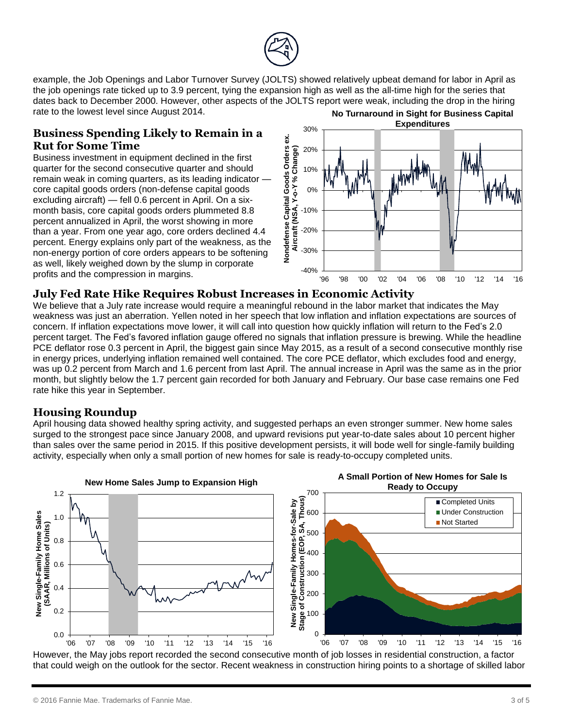

example, the Job Openings and Labor Turnover Survey (JOLTS) showed relatively upbeat demand for labor in April as the job openings rate ticked up to 3.9 percent, tying the expansion high as well as the all-time high for the series that dates back to December 2000. However, other aspects of the JOLTS report were weak, including the drop in the hiring rate to the lowest level since August 2014. **No Turnaround in Sight for Business Capital Expenditures**

### **Business Spending Likely to Remain in a Rut for Some Time**

Business investment in equipment declined in the first quarter for the second consecutive quarter and should remain weak in coming quarters, as its leading indicator core capital goods orders (non-defense capital goods excluding aircraft) — fell 0.6 percent in April. On a sixmonth basis, core capital goods orders plummeted 8.8 percent annualized in April, the worst showing in more than a year. From one year ago, core orders declined 4.4 percent. Energy explains only part of the weakness, as the non-energy portion of core orders appears to be softening as well, likely weighed down by the slump in corporate profits and the compression in margins.



### **July Fed Rate Hike Requires Robust Increases in Economic Activity**

We believe that a July rate increase would require a meaningful rebound in the labor market that indicates the May weakness was just an aberration. Yellen noted in her speech that low inflation and inflation expectations are sources of concern. If inflation expectations move lower, it will call into question how quickly inflation will return to the Fed's 2.0 percent target. The Fed's favored inflation gauge offered no signals that inflation pressure is brewing. While the headline PCE deflator rose 0.3 percent in April, the biggest gain since May 2015, as a result of a second consecutive monthly rise in energy prices, underlying inflation remained well contained. The core PCE deflator, which excludes food and energy, was up 0.2 percent from March and 1.6 percent from last April. The annual increase in April was the same as in the prior month, but slightly below the 1.7 percent gain recorded for both January and February. Our base case remains one Fed rate hike this year in September.

# **Housing Roundup**

April housing data showed healthy spring activity, and suggested perhaps an even stronger summer. New home sales surged to the strongest pace since January 2008, and upward revisions put year-to-date sales about 10 percent higher than sales over the same period in 2015. If this positive development persists, it will bode well for single-family building activity, especially when only a small portion of new homes for sale is ready-to-occupy completed units.



However, the May jobs report recorded the second consecutive month of job losses in residential construction, a factor that could weigh on the outlook for the sector. Recent weakness in construction hiring points to a shortage of skilled labor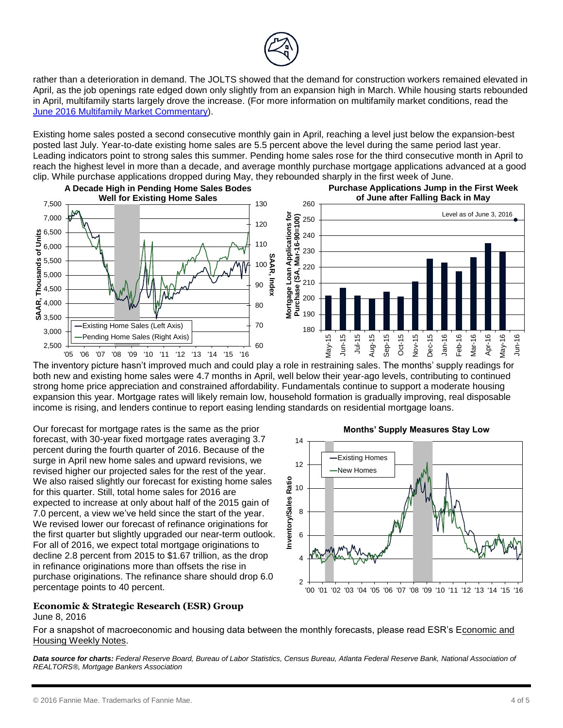

rather than a deterioration in demand. The JOLTS showed that the demand for construction workers remained elevated in April, as the job openings rate edged down only slightly from an expansion high in March. While housing starts rebounded in April, multifamily starts largely drove the increase. (For more information on multifamily market conditions, read the [June 2016 Multifamily Market Commentary\)](http://www.fanniemae.com/resources/file/research/emma/pdf/MF_Market_Commentary_062016.pdf).

Existing home sales posted a second consecutive monthly gain in April, reaching a level just below the expansion-best posted last July. Year-to-date existing home sales are 5.5 percent above the level during the same period last year. Leading indicators point to strong sales this summer. Pending home sales rose for the third consecutive month in April to reach the highest level in more than a decade, and average monthly purchase mortgage applications advanced at a good clip. While purchase applications dropped during May, they rebounded sharply in the first week of June.



The inventory picture hasn't improved much and could play a role in restraining sales. The months' supply readings for both new and existing home sales were 4.7 months in April, well below their year-ago levels, contributing to continued strong home price appreciation and constrained affordability. Fundamentals continue to support a moderate housing expansion this year. Mortgage rates will likely remain low, household formation is gradually improving, real disposable income is rising, and lenders continue to report easing lending standards on residential mortgage loans.

Our forecast for mortgage rates is the same as the prior forecast, with 30-year fixed mortgage rates averaging 3.7 percent during the fourth quarter of 2016. Because of the surge in April new home sales and upward revisions, we revised higher our projected sales for the rest of the year. We also raised slightly our forecast for existing home sales for this quarter. Still, total home sales for 2016 are expected to increase at only about half of the 2015 gain of 7.0 percent, a view we've held since the start of the year. We revised lower our forecast of refinance originations for the first quarter but slightly upgraded our near-term outlook. For all of 2016, we expect total mortgage originations to decline 2.8 percent from 2015 to \$1.67 trillion, as the drop in refinance originations more than offsets the rise in purchase originations. The refinance share should drop 6.0 percentage points to 40 percent.

#### **Economic & Strategic Research (ESR) Group** June 8, 2016



For a snapshot of macroeconomic and housing data between the monthly forecasts, please read ESR's Economic and Housing Weekly Notes.

*Data source for charts: Federal Reserve Board, Bureau of Labor Statistics, Census Bureau, Atlanta Federal Reserve Bank, National Association of REALTORS®, Mortgage Bankers Association*